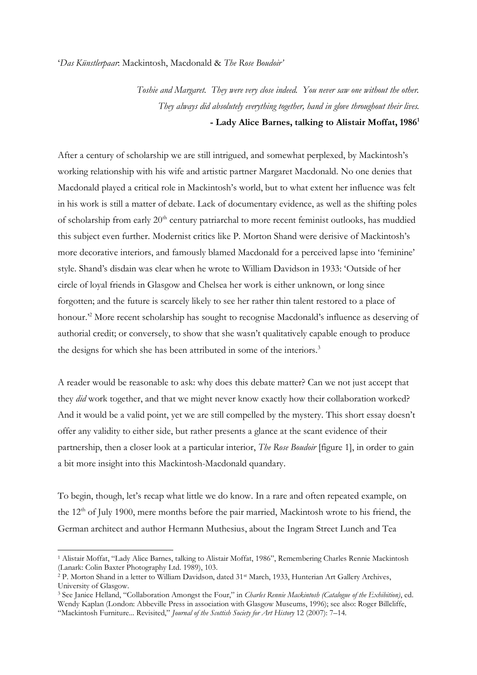'*Das Künstlerpaar*: Mackintosh, Macdonald & *The Rose Boudoir'*

*Toshie and Margaret. They were very close indeed. You never saw one without the other. They always did absolutely everything together, hand in glove throughout their lives.* **- Lady Alice Barnes, talking to Alistair Moffat, 1986<sup>1</sup>**

After a century of scholarship we are still intrigued, and somewhat perplexed, by Mackintosh's working relationship with his wife and artistic partner Margaret Macdonald. No one denies that Macdonald played a critical role in Mackintosh's world, but to what extent her influence was felt in his work is still a matter of debate. Lack of documentary evidence, as well as the shifting poles of scholarship from early  $20<sup>th</sup>$  century patriarchal to more recent feminist outlooks, has muddied this subject even further. Modernist critics like P. Morton Shand were derisive of Mackintosh's more decorative interiors, and famously blamed Macdonald for a perceived lapse into 'feminine' style. Shand's disdain was clear when he wrote to William Davidson in 1933: 'Outside of her circle of loyal friends in Glasgow and Chelsea her work is either unknown, or long since forgotten; and the future is scarcely likely to see her rather thin talent restored to a place of honour.<sup>22</sup> More recent scholarship has sought to recognise Macdonald's influence as deserving of authorial credit; or conversely, to show that she wasn't qualitatively capable enough to produce the designs for which she has been attributed in some of the interiors.<sup>3</sup>

A reader would be reasonable to ask: why does this debate matter? Can we not just accept that they *did* work together, and that we might never know exactly how their collaboration worked? And it would be a valid point, yet we are still compelled by the mystery. This short essay doesn't offer any validity to either side, but rather presents a glance at the scant evidence of their partnership, then a closer look at a particular interior, *The Rose Boudoir* [figure 1], in order to gain a bit more insight into this Mackintosh-Macdonald quandary.

To begin, though, let's recap what little we do know. In a rare and often repeated example, on the 12<sup>th</sup> of July 1900, mere months before the pair married, Mackintosh wrote to his friend, the German architect and author Hermann Muthesius, about the Ingram Street Lunch and Tea

<sup>1</sup> Alistair Moffat, "Lady Alice Barnes, talking to Alistair Moffat, 1986", Remembering Charles Rennie Mackintosh (Lanark: Colin Baxter Photography Ltd. 1989), 103.

<sup>&</sup>lt;sup>2</sup> P. Morton Shand in a letter to William Davidson, dated 31<sup>st</sup> March, 1933, Hunterian Art Gallery Archives, University of Glasgow.

<sup>3</sup> See Janice Helland, "Collaboration Amongst the Four," in *Charles Rennie Mackintosh (Catalogue of the Exhibition)*, ed. Wendy Kaplan (London: Abbeville Press in association with Glasgow Museums, 1996); see also: Roger Billcliffe, "Mackintosh Furniture... Revisited," *Journal of the Scottish Society for Art History* 12 (2007): 7–14.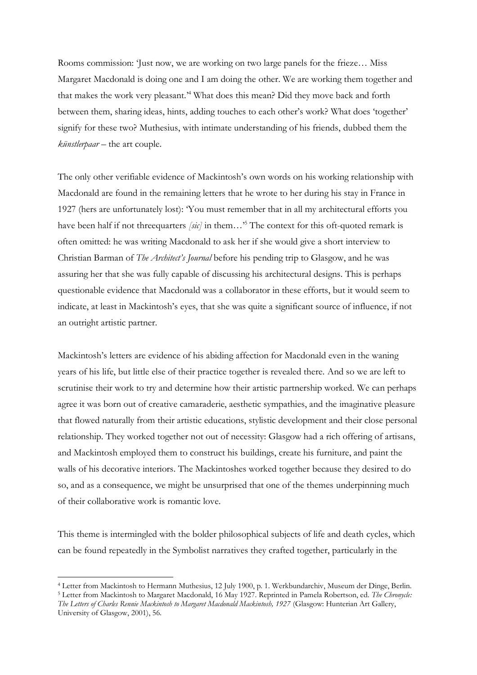Rooms commission: 'Just now, we are working on two large panels for the frieze… Miss Margaret Macdonald is doing one and I am doing the other. We are working them together and that makes the work very pleasant.' <sup>4</sup> What does this mean? Did they move back and forth between them, sharing ideas, hints, adding touches to each other's work? What does 'together' signify for these two? Muthesius, with intimate understanding of his friends, dubbed them the *künstlerpaar* – the art couple.

The only other verifiable evidence of Mackintosh's own words on his working relationship with Macdonald are found in the remaining letters that he wrote to her during his stay in France in 1927 (hers are unfortunately lost): 'You must remember that in all my architectural efforts you have been half if not threequarters *[sic]* in them…' <sup>5</sup> The context for this oft-quoted remark is often omitted: he was writing Macdonald to ask her if she would give a short interview to Christian Barman of *The Architect's Journal* before his pending trip to Glasgow, and he was assuring her that she was fully capable of discussing his architectural designs. This is perhaps questionable evidence that Macdonald was a collaborator in these efforts, but it would seem to indicate, at least in Mackintosh's eyes, that she was quite a significant source of influence, if not an outright artistic partner.

Mackintosh's letters are evidence of his abiding affection for Macdonald even in the waning years of his life, but little else of their practice together is revealed there. And so we are left to scrutinise their work to try and determine how their artistic partnership worked. We can perhaps agree it was born out of creative camaraderie, aesthetic sympathies, and the imaginative pleasure that flowed naturally from their artistic educations, stylistic development and their close personal relationship. They worked together not out of necessity: Glasgow had a rich offering of artisans, and Mackintosh employed them to construct his buildings, create his furniture, and paint the walls of his decorative interiors. The Mackintoshes worked together because they desired to do so, and as a consequence, we might be unsurprised that one of the themes underpinning much of their collaborative work is romantic love.

This theme is intermingled with the bolder philosophical subjects of life and death cycles, which can be found repeatedly in the Symbolist narratives they crafted together, particularly in the

<sup>4</sup> Letter from Mackintosh to Hermann Muthesius, 12 July 1900, p. 1. Werkbundarchiv, Museum der Dinge, Berlin.

<sup>5</sup> Letter from Mackintosh to Margaret Macdonald, 16 May 1927. Reprinted in Pamela Robertson, ed. *The Chronycle: The Letters of Charles Rennie Mackintosh to Margaret Macdonald Mackintosh, 1927* (Glasgow: Hunterian Art Gallery, University of Glasgow, 2001), 56.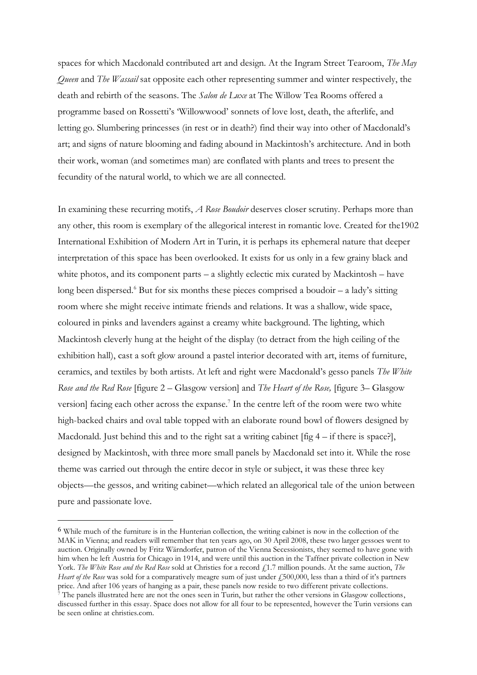spaces for which Macdonald contributed art and design. At the Ingram Street Tearoom, *The May Queen* and *The Wassail* sat opposite each other representing summer and winter respectively, the death and rebirth of the seasons. The *Salon de Luxe* at The Willow Tea Rooms offered a programme based on Rossetti's 'Willowwood' sonnets of love lost, death, the afterlife, and letting go. Slumbering princesses (in rest or in death?) find their way into other of Macdonald's art; and signs of nature blooming and fading abound in Mackintosh's architecture. And in both their work, woman (and sometimes man) are conflated with plants and trees to present the fecundity of the natural world, to which we are all connected.

In examining these recurring motifs, *A Rose Boudoir* deserves closer scrutiny. Perhaps more than any other, this room is exemplary of the allegorical interest in romantic love. Created for the1902 International Exhibition of Modern Art in Turin, it is perhaps its ephemeral nature that deeper interpretation of this space has been overlooked. It exists for us only in a few grainy black and white photos, and its component parts – a slightly eclectic mix curated by Mackintosh – have long been dispersed.<sup>6</sup> But for six months these pieces comprised a boudoir  $-$  a lady's sitting room where she might receive intimate friends and relations. It was a shallow, wide space, coloured in pinks and lavenders against a creamy white background. The lighting, which Mackintosh cleverly hung at the height of the display (to detract from the high ceiling of the exhibition hall), cast a soft glow around a pastel interior decorated with art, items of furniture, ceramics, and textiles by both artists. At left and right were Macdonald's gesso panels *The White Rose and the Red Rose* [figure 2 – Glasgow version] and *The Heart of the Rose,* [figure 3– Glasgow version] facing each other across the expanse.<sup>7</sup> In the centre left of the room were two white high-backed chairs and oval table topped with an elaborate round bowl of flowers designed by Macdonald. Just behind this and to the right sat a writing cabinet  $[\text{fig } 4 - \text{if there is space}]\,$ , designed by Mackintosh, with three more small panels by Macdonald set into it. While the rose theme was carried out through the entire decor in style or subject, it was these three key objects—the gessos, and writing cabinet—which related an allegorical tale of the union between pure and passionate love.

<sup>6</sup> While much of the furniture is in the Hunterian collection, the writing cabinet is now in the collection of the MAK in Vienna; and readers will remember that ten years ago, on 30 April 2008, these two larger gessoes went to auction. Originally owned by Fritz Wärndorfer, patron of the Vienna Secessionists, they seemed to have gone with him when he left Austria for Chicago in 1914, and were until this auction in the Taffner private collection in New York. The White Rose and the Red Rose sold at Christies for a record £1.7 million pounds. At the same auction, *The Heart of the Rose* was sold for a comparatively meagre sum of just under £500,000, less than a third of it's partners price. And after 106 years of hanging as a pair, these panels now reside to two different private collections.

 $^7$  The panels illustrated here are not the ones seen in Turin, but rather the other versions in Glasgow collections, discussed further in this essay. Space does not allow for all four to be represented, however the Turin versions can be seen online at christies.com.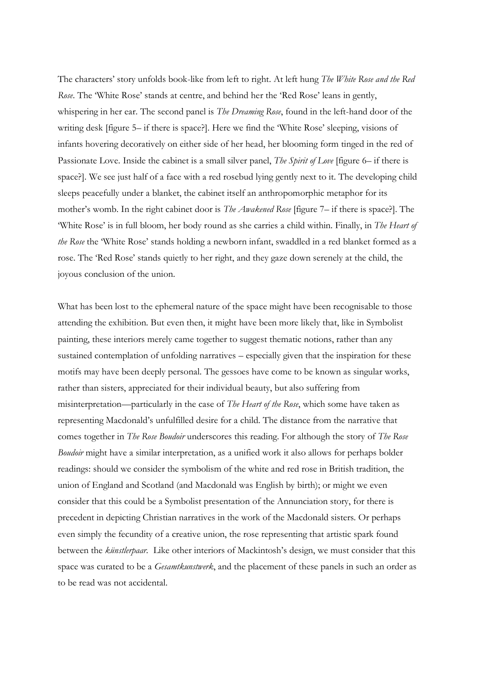The characters' story unfolds book-like from left to right. At left hung *The White Rose and the Red Rose*. The 'White Rose' stands at centre, and behind her the 'Red Rose' leans in gently, whispering in her ear. The second panel is *The Dreaming Rose*, found in the left-hand door of the writing desk [figure 5– if there is space?]. Here we find the 'White Rose' sleeping, visions of infants hovering decoratively on either side of her head, her blooming form tinged in the red of Passionate Love. Inside the cabinet is a small silver panel, *The Spirit of Love* [figure 6– if there is space?]. We see just half of a face with a red rosebud lying gently next to it. The developing child sleeps peacefully under a blanket, the cabinet itself an anthropomorphic metaphor for its mother's womb. In the right cabinet door is *The Awakened Rose* [figure 7– if there is space?]. The 'White Rose' is in full bloom, her body round as she carries a child within. Finally, in *The Heart of the Rose* the 'White Rose' stands holding a newborn infant, swaddled in a red blanket formed as a rose. The 'Red Rose' stands quietly to her right, and they gaze down serenely at the child, the joyous conclusion of the union.

What has been lost to the ephemeral nature of the space might have been recognisable to those attending the exhibition. But even then, it might have been more likely that, like in Symbolist painting, these interiors merely came together to suggest thematic notions, rather than any sustained contemplation of unfolding narratives – especially given that the inspiration for these motifs may have been deeply personal. The gessoes have come to be known as singular works, rather than sisters, appreciated for their individual beauty, but also suffering from misinterpretation—particularly in the case of *The Heart of the Rose*, which some have taken as representing Macdonald's unfulfilled desire for a child. The distance from the narrative that comes together in *The Rose Boudoir* underscores this reading. For although the story of *The Rose Boudoir* might have a similar interpretation, as a unified work it also allows for perhaps bolder readings: should we consider the symbolism of the white and red rose in British tradition, the union of England and Scotland (and Macdonald was English by birth); or might we even consider that this could be a Symbolist presentation of the Annunciation story, for there is precedent in depicting Christian narratives in the work of the Macdonald sisters. Or perhaps even simply the fecundity of a creative union, the rose representing that artistic spark found between the *künstlerpaar.* Like other interiors of Mackintosh's design, we must consider that this space was curated to be a *Gesamtkunstwerk*, and the placement of these panels in such an order as to be read was not accidental.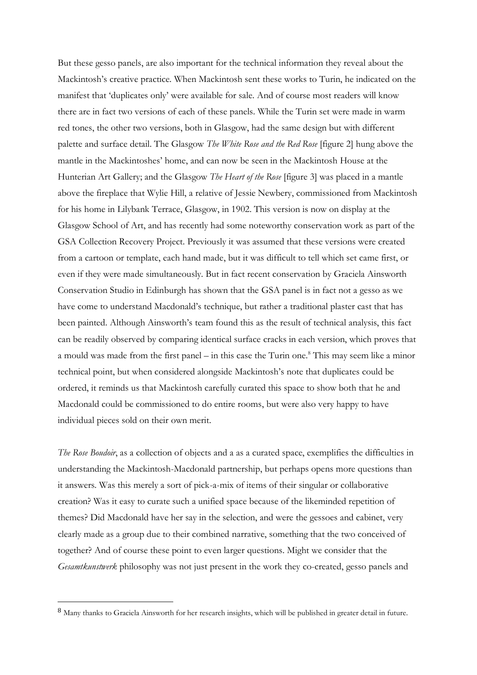But these gesso panels, are also important for the technical information they reveal about the Mackintosh's creative practice. When Mackintosh sent these works to Turin, he indicated on the manifest that 'duplicates only' were available for sale. And of course most readers will know there are in fact two versions of each of these panels. While the Turin set were made in warm red tones, the other two versions, both in Glasgow, had the same design but with different palette and surface detail. The Glasgow *The White Rose and the Red Rose* [figure 2] hung above the mantle in the Mackintoshes' home, and can now be seen in the Mackintosh House at the Hunterian Art Gallery; and the Glasgow *The Heart of the Rose* [figure 3] was placed in a mantle above the fireplace that Wylie Hill, a relative of Jessie Newbery, commissioned from Mackintosh for his home in Lilybank Terrace, Glasgow, in 1902. This version is now on display at the Glasgow School of Art, and has recently had some noteworthy conservation work as part of the GSA Collection Recovery Project. Previously it was assumed that these versions were created from a cartoon or template, each hand made, but it was difficult to tell which set came first, or even if they were made simultaneously. But in fact recent conservation by Graciela Ainsworth Conservation Studio in Edinburgh has shown that the GSA panel is in fact not a gesso as we have come to understand Macdonald's technique, but rather a traditional plaster cast that has been painted. Although Ainsworth's team found this as the result of technical analysis, this fact can be readily observed by comparing identical surface cracks in each version, which proves that a mould was made from the first panel – in this case the Turin one. <sup>8</sup> This may seem like a minor technical point, but when considered alongside Mackintosh's note that duplicates could be ordered, it reminds us that Mackintosh carefully curated this space to show both that he and Macdonald could be commissioned to do entire rooms, but were also very happy to have individual pieces sold on their own merit.

*The Rose Boudoir*, as a collection of objects and a as a curated space, exemplifies the difficulties in understanding the Mackintosh-Macdonald partnership, but perhaps opens more questions than it answers. Was this merely a sort of pick-a-mix of items of their singular or collaborative creation? Was it easy to curate such a unified space because of the likeminded repetition of themes? Did Macdonald have her say in the selection, and were the gessoes and cabinet, very clearly made as a group due to their combined narrative, something that the two conceived of together? And of course these point to even larger questions. Might we consider that the *Gesamtkunstwerk* philosophy was not just present in the work they co-created, gesso panels and

<sup>8</sup> Many thanks to Graciela Ainsworth for her research insights, which will be published in greater detail in future.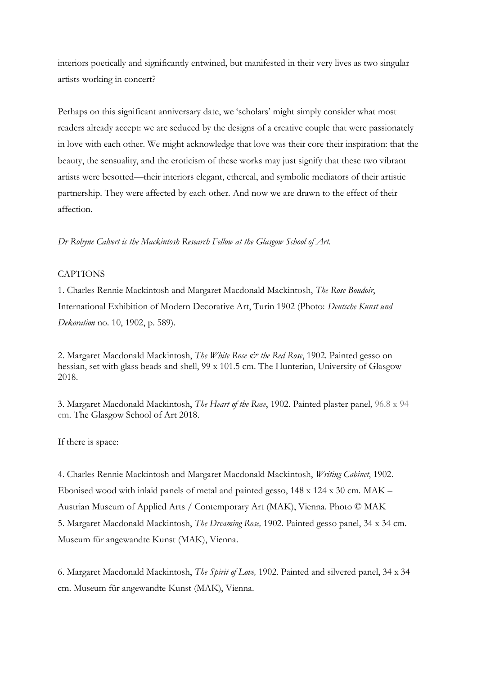interiors poetically and significantly entwined, but manifested in their very lives as two singular artists working in concert?

Perhaps on this significant anniversary date, we 'scholars' might simply consider what most readers already accept: we are seduced by the designs of a creative couple that were passionately in love with each other. We might acknowledge that love was their core their inspiration: that the beauty, the sensuality, and the eroticism of these works may just signify that these two vibrant artists were besotted—their interiors elegant, ethereal, and symbolic mediators of their artistic partnership. They were affected by each other. And now we are drawn to the effect of their affection.

*Dr Robyne Calvert is the Mackintosh Research Fellow at the Glasgow School of Art.*

## **CAPTIONS**

1. Charles Rennie Mackintosh and Margaret Macdonald Mackintosh, *The Rose Boudoir*, International Exhibition of Modern Decorative Art, Turin 1902 (Photo: *Deutsche Kunst und Dekoration* no. 10, 1902, p. 589).

2. Margaret Macdonald Mackintosh, *The White Rose & the Red Rose*, 1902. Painted gesso on hessian, set with glass beads and shell, 99 x 101.5 cm. The Hunterian, University of Glasgow 2018.

3. Margaret Macdonald Mackintosh, *The Heart of the Rose*, 1902. Painted plaster panel, 96.8 x 94 cm. The Glasgow School of Art 2018.

## If there is space:

4. Charles Rennie Mackintosh and Margaret Macdonald Mackintosh, *Writing Cabinet*, 1902. Ebonised wood with inlaid panels of metal and painted gesso, 148 x 124 x 30 cm. MAK – Austrian Museum of Applied Arts / Contemporary Art (MAK), Vienna. Photo © MAK 5. Margaret Macdonald Mackintosh, *The Dreaming Rose,* 1902. Painted gesso panel, 34 x 34 cm. Museum für angewandte Kunst (MAK), Vienna.

6. Margaret Macdonald Mackintosh, *The Spirit of Love,* 1902. Painted and silvered panel, 34 x 34 cm. Museum für angewandte Kunst (MAK), Vienna.